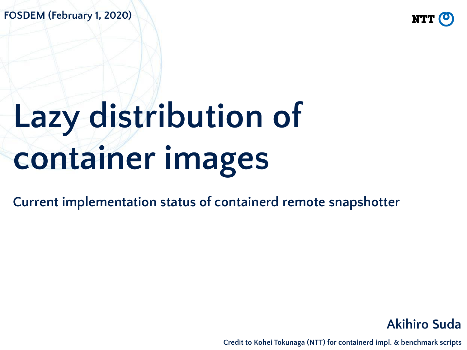**FOSDEM (February 1, 2020)**



# **Lazy distribution of container images**

**Current implementation status of containerd remote snapshotter**

**Akihiro Suda**

**Credit to Kohei Tokunaga (NTT) for containerd impl. & benchmark scripts**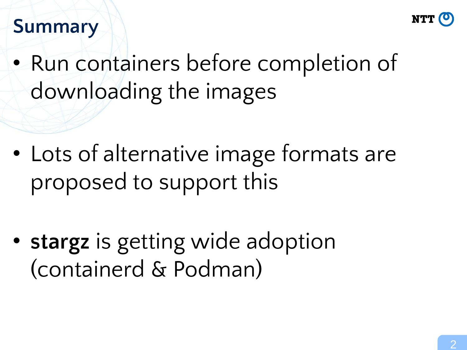

## **Summary**

• Run containers before completion of downloading the images

- Lots of alternative image formats are proposed to support this
- **stargz** is getting wide adoption (containerd & Podman)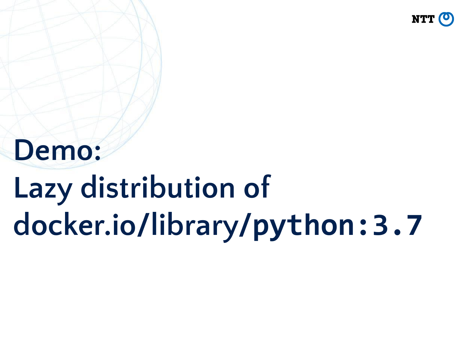NTT (C

## **Demo:**

# **Lazy distribution of docker.io/library/python:3.7**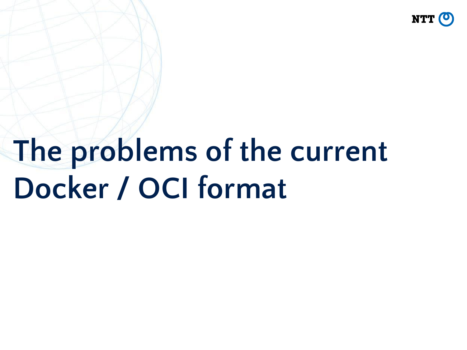

# **The problems of the current Docker / OCI format**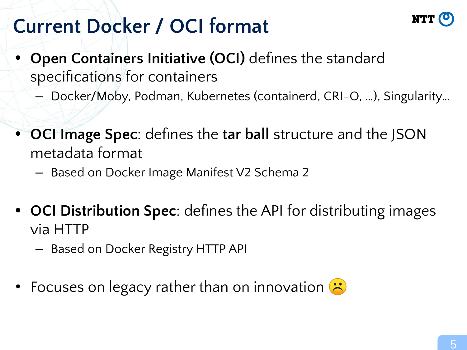## **Current Docker / OCI format**



- **• Open Containers Initiative (OCI)** defines the standard specifications for containers
	- Docker/Moby, Podman, Kubernetes (containerd, CRI-O, …), Singularity…
- **• OCI Image Spec**: defines the **tar ball** structure and the JSON metadata format
	- Based on Docker Image Manifest V2 Schema 2
- **• OCI Distribution Spec**: defines the API for distributing images via HTTP
	- Based on Docker Registry HTTP API
- Focuses on legacy rather than on innovation  $\ddot{\mathbf{c}}$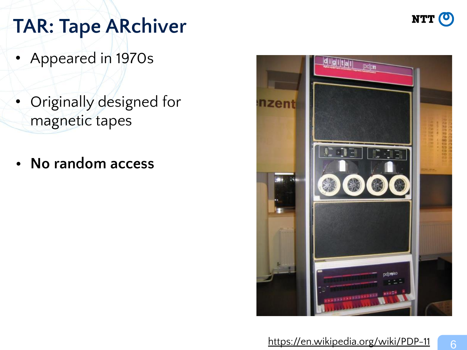

## **TAR: Tape ARchiver**

- Appeared in 1970s
- Originally designed for magnetic tapes
- **• No random access**

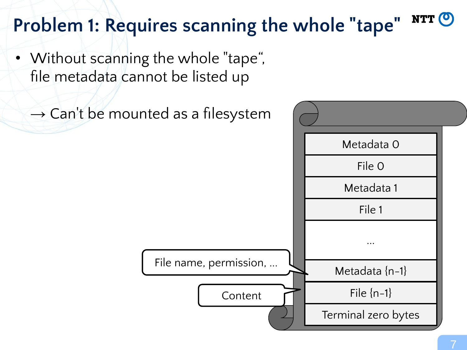#### NTT (O **Problem 1: Requires scanning the whole "tape"**

- Without scanning the whole "tape", file metadata cannot be listed up
	- $\rightarrow$  Can't be mounted as a filesystem

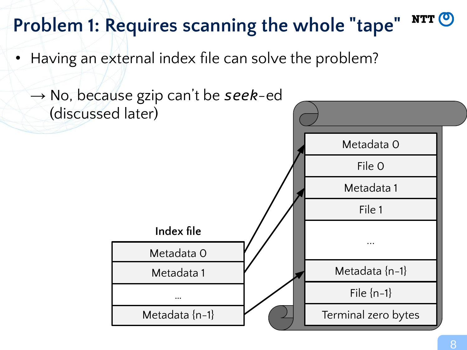#### NTT (O **Problem 1: Requires scanning the whole "tape"**

• Having an external index file can solve the problem?

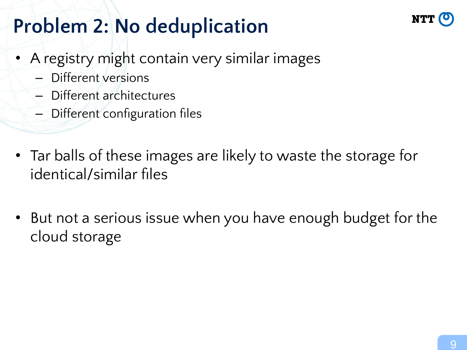## **Problem 2: No deduplication**

- A registry might contain very similar images
	- Different versions
	- Different architectures
	- Different configuration files
- Tar balls of these images are likely to waste the storage for identical/similar files
- But not a serious issue when you have enough budget for the cloud storage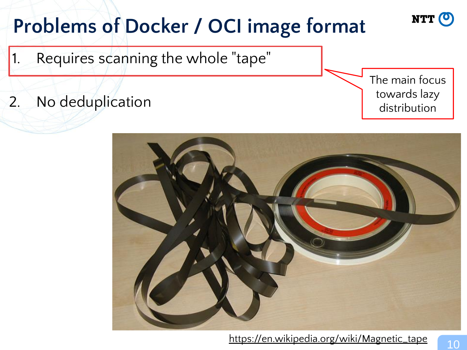## **Problems of Docker / OCI image format**

Requires scanning the whole "tape"

2. No deduplication

The main focus towards lazy distribution

NTT O



[https://en.wikipedia.org/wiki/Magnetic\\_tape](https://en.wikipedia.org/wiki/Magnetic_tape)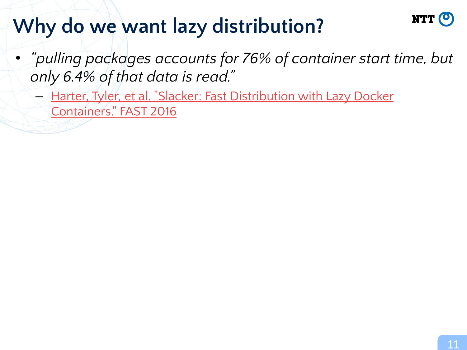## **Why do we want lazy distribution?**

- *• "pulling packages accounts for 76% of container start time, but only 6.4% of that data is read."*
	- [Harter, Tyler, et al. "Slacker: Fast Distribution with Lazy Docker](https://www.usenix.org/system/files/conference/fast16/fast16-papers-harter.pdf) [Containers." FAST 2016](https://www.usenix.org/system/files/conference/fast16/fast16-papers-harter.pdf)

NTT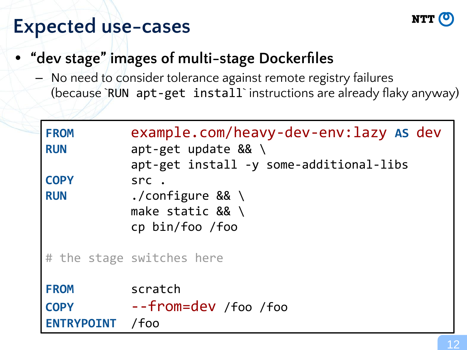## **Expected use-cases**



- **• "dev stage" images of multi-stage Dockerfiles**
	- No need to consider tolerance against remote registry failures (because `RUN apt-get install` instructions are already flaky anyway)

| <b>FROM</b><br><b>RUN</b> | example.com/heavy-dev-env:lazy As dev<br>apt-get install -y some-additional-libs |
|---------------------------|----------------------------------------------------------------------------------|
| <b>COPY</b>               | src.                                                                             |
| <b>RUN</b>                | ./configure $88 \backslash$<br>make static $88 \text{ }$<br>cp bin/foo /foo      |
|                           | # the stage switches here                                                        |
| <b>FROM</b>               | scratch                                                                          |
| <b>COPY</b>               | --from=dev /foo /foo                                                             |
| ENTRYPOINT / foo          |                                                                                  |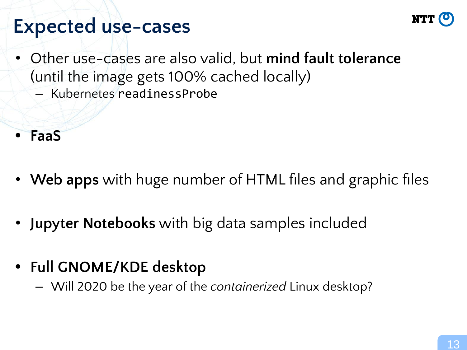## **Expected use-cases**

- 
- Other use-cases are also valid, but **mind fault tolerance** (until the image gets 100% cached locally)
	- Kubernetes readinessProbe
- **• FaaS**
- **Web apps** with huge number of HTML files and graphic files
- **Jupyter Notebooks** with big data samples included
- **• Full GNOME/KDE desktop**
	- Will 2020 be the year of the *containerized* Linux desktop?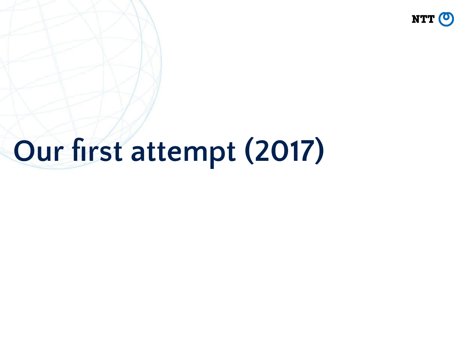

# **Our first attempt (2017)**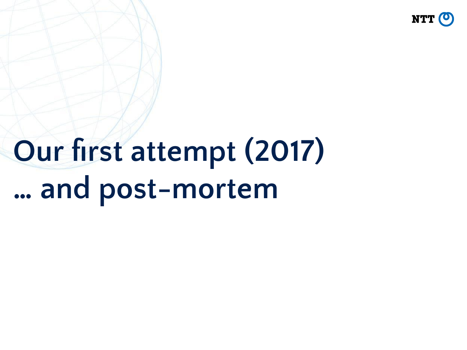

# **Our first attempt (2017) … and post-mortem**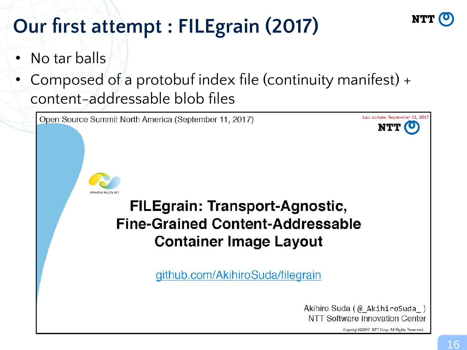## **Our first attempt : FILEgrain (2017)**

- No tar balls
- Composed of a protobuf index file (continuity manifest) + content-addressable blob files

Open Source Summit North America (September 11, 2017)



### FILEgrain: Transport-Agnostic, **Fine-Grained Content-Addressable Container Image Layout**

github.com/AkihiroSuda/filegrain

Akihiro Suda (@\_AkihiroSuda\_) **NTT Software Innovation Center** 

Copyright@2017 NTT Corp. All Rights Reserved.

Last update: September 11, 201

NTT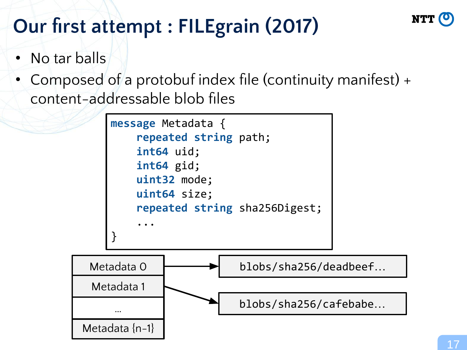## **Our first attempt : FILEgrain (2017)**

**NTT** 

- No tar balls
- Composed of a protobuf index file (continuity manifest) + content-addressable blob files

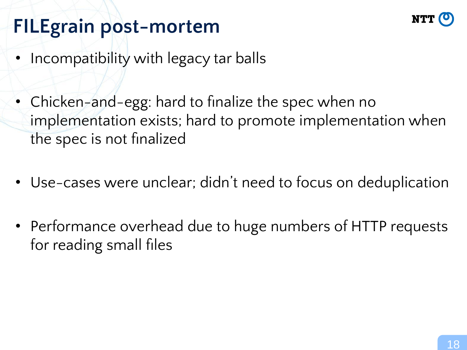

## **FILEgrain post-mortem**

- Incompatibility with legacy tar balls
- Chicken-and-egg: hard to finalize the spec when no implementation exists; hard to promote implementation when the spec is not finalized
- Use-cases were unclear; didn't need to focus on deduplication
- Performance overhead due to huge numbers of HTTP requests for reading small files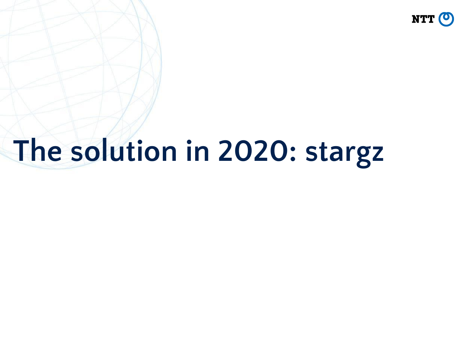

## **The solution in 2020: stargz**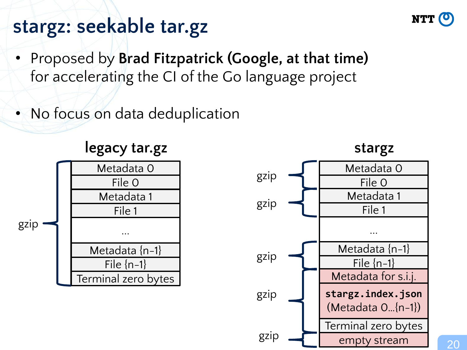## **stargz: seekable tar.gz**

- Proposed by **Brad Fitzpatrick (Google, at that time)** for accelerating the CI of the Go language project
- No focus on data deduplication



#### Metadata 0  $\frac{1}{2}$   $\frac{1}{2}$   $\frac{1}{2}$   $\frac{1}{2}$   $\frac{1}{2}$   $\frac{1}{2}$   $\frac{1}{2}$   $\frac{1}{2}$   $\frac{1}{2}$   $\frac{1}{2}$   $\frac{1}{2}$   $\frac{1}{2}$   $\frac{1}{2}$   $\frac{1}{2}$   $\frac{1}{2}$   $\frac{1}{2}$   $\frac{1}{2}$   $\frac{1}{2}$   $\frac{1}{2}$   $\frac{1}{2}$   $\frac{1}{2}$   $\frac{1}{2}$  Metadata 1 gzip  $\leftarrow$  File 1 ... Metadata {n-1} gzip  $\leftarrow$  File  $\{n-1\}$ Metadata for s.i.j. **stargz.index.json** (Metadata 0…{n-1}) gzip Terminal zero bytes empty stream gzip

#### **stargz**

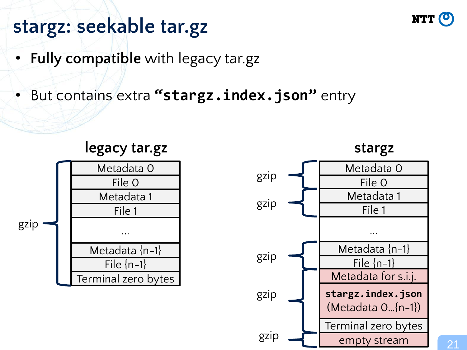## **stargz: seekable tar.gz**

- **Fully compatible** with legacy tar.gz
- But contains extra **"stargz.index.json"** entry



**legacy tar.gz**



**stargz**

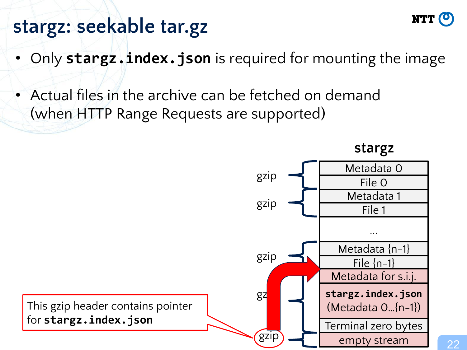

## **stargz: seekable tar.gz**

- Only **stargz.index.json** is required for mounting the image
- Actual files in the archive can be fetched on demand (when HTTP Range Requests are supported)

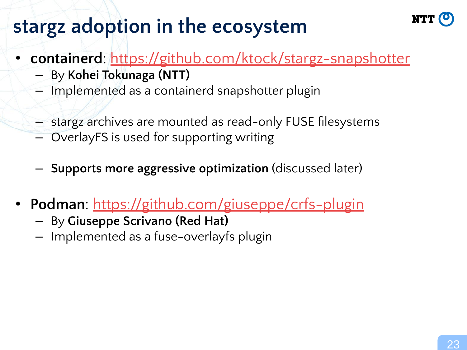## **stargz adoption in the ecosystem**

- **containerd**:<https://github.com/ktock/stargz-snapshotter>
	- By **Kohei Tokunaga (NTT)**
	- Implemented as a containerd snapshotter plugin
	- stargz archives are mounted as read-only FUSE filesystems
	- OverlayFS is used for supporting writing
	- **Supports more aggressive optimization** (discussed later)
- **Podman**:<https://github.com/giuseppe/crfs-plugin>
	- By **Giuseppe Scrivano (Red Hat)**
	- Implemented as a fuse-overlayfs plugin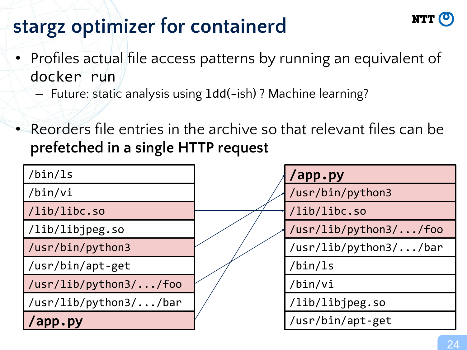## **stargz optimizer for containerd**

- Profiles actual file access patterns by running an equivalent of docker run
	- Future: static analysis using ldd(-ish) ? Machine learning?
- Reorders file entries in the archive so that relevant files can be **prefetched in a single HTTP request**

| /bin/ls               | /app.py               |
|-----------------------|-----------------------|
| /bin/vi               | /usr/bin/python3      |
| /lib/libc.so          | /lib/libc.so          |
| /lib/libjpeg.so       | /usr/lib/python3//foo |
| /usr/bin/python3      | /usr/lib/python3//bar |
| /usr/bin/apt-get      | /bin/ls               |
| /usr/lib/python3//foo | /bin/vi               |
| /usr/lib/python3//bar | /lib/libjpeg.so       |
| /app.py               | /usr/bin/apt-get      |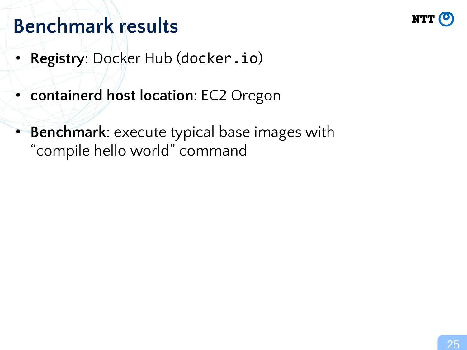

- **Registry**: Docker Hub (docker.io)
- **containerd host location**: EC2 Oregon
- **Benchmark**: execute typical base images with "compile hello world" command

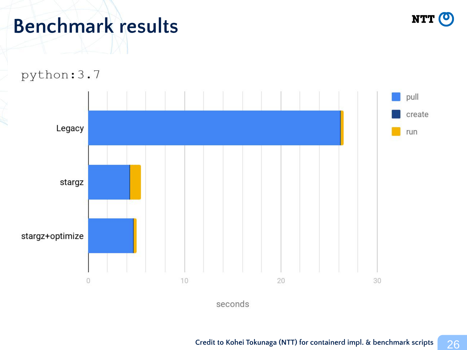

python: 3.7



seconds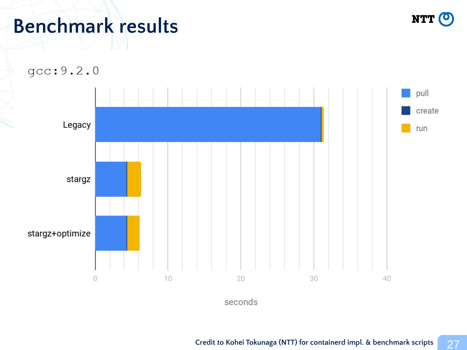



#### **Credit to Kohei Tokunaga (NTT) for containerd impl. & benchmark scripts**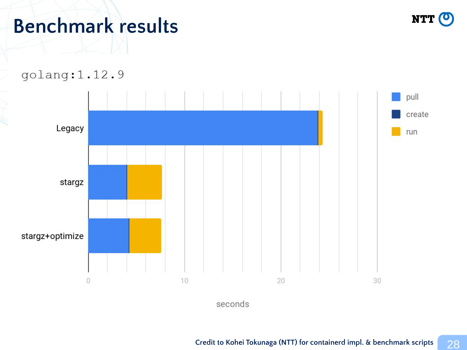

golang: 1.12.9



seconds

28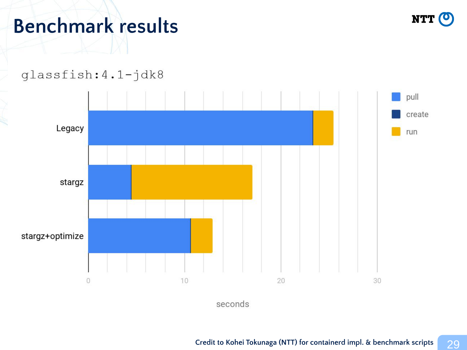

glassfish: 4.1-jdk8



seconds

29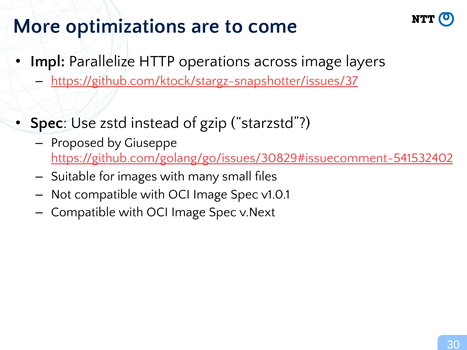## **More optimizations are to come**

- **Impl:** Parallelize HTTP operations across image layers
	- <https://github.com/ktock/stargz-snapshotter/issues/37>
	- **Spec**: Use zstd instead of gzip ("starzstd"?)
		- Proposed by Giuseppe <https://github.com/golang/go/issues/30829#issuecomment-541532402>
		- Suitable for images with many small files
		- Not compatible with OCI Image Spec v1.0.1
		- Compatible with OCI Image Spec v.Next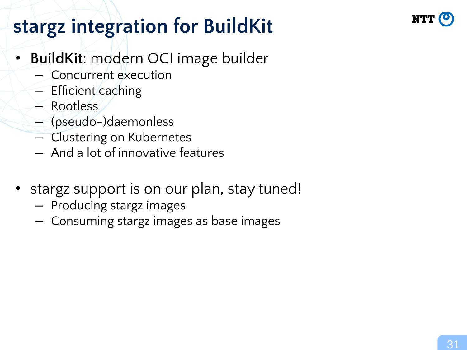## **stargz integration for BuildKit**

- **BuildKit**: modern OCI image builder
	- Concurrent execution
	- Efficient caching
	- Rootless
	- (pseudo-)daemonless
	- Clustering on Kubernetes
	- And a lot of innovative features
- stargz support is on our plan, stay tuned!
	- Producing stargz images
	- Consuming stargz images as base images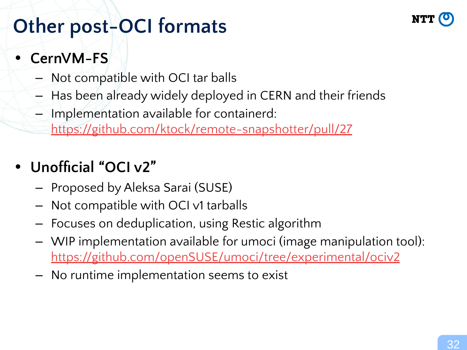## **Other post-OCI formats**

## **• CernVM-FS**

- Not compatible with OCI tar balls
- Has been already widely deployed in CERN and their friends
- Implementation available for containerd: <https://github.com/ktock/remote-snapshotter/pull/27>

## **• Unofficial "OCI v2"**

- Proposed by Aleksa Sarai (SUSE)
- Not compatible with OCI v1 tarballs
- Focuses on deduplication, using Restic algorithm
- WIP implementation available for umoci (image manipulation tool): <https://github.com/openSUSE/umoci/tree/experimental/ociv2>
- No runtime implementation seems to exist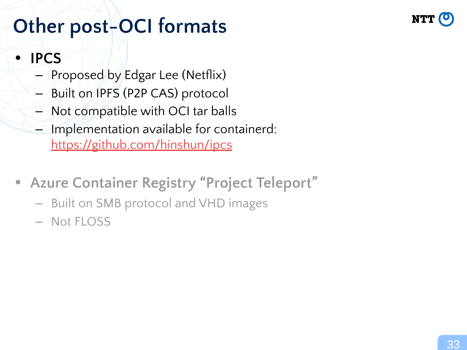## **Other post-OCI formats**



#### **• IPCS**

- Proposed by Edgar Lee (Netflix)
- Built on IPFS (P2P CAS) protocol
- Not compatible with OCI tar balls
- Implementation available for containerd: <https://github.com/hinshun/ipcs>
- **• Azure Container Registry "Project Teleport"**
	- Built on SMB protocol and VHD images
	- Not FLOSS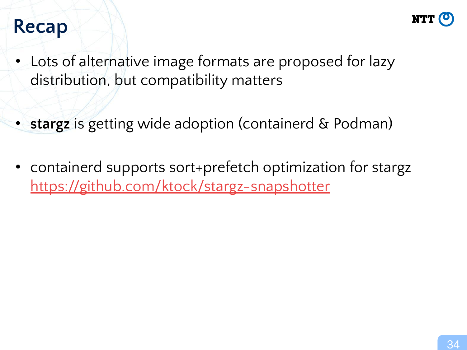## **Recap**



- Lots of alternative image formats are proposed for lazy distribution, but compatibility matters
	- **stargz** is getting wide adoption (containerd & Podman)
- containerd supports sort+prefetch optimization for stargz <https://github.com/ktock/stargz-snapshotter>